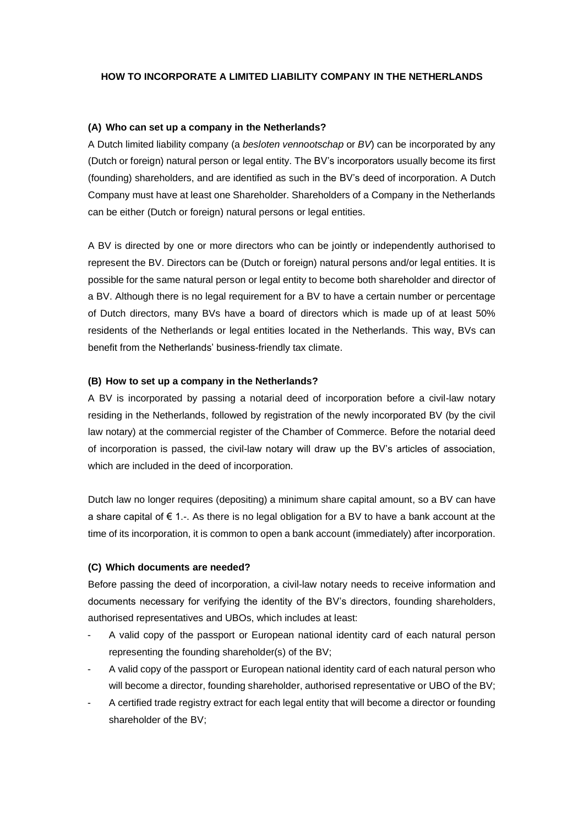### **HOW TO INCORPORATE A LIMITED LIABILITY COMPANY IN THE NETHERLANDS**

#### **(A) Who can set up a company in the Netherlands?**

A Dutch limited liability company (a *besloten vennootschap* or *BV*) can be incorporated by any (Dutch or foreign) natural person or legal entity. The BV's incorporators usually become its first (founding) shareholders, and are identified as such in the BV's deed of incorporation. A Dutch Company must have at least one Shareholder. Shareholders of a Company in the Netherlands can be either (Dutch or foreign) natural persons or legal entities.

A BV is directed by one or more directors who can be jointly or independently authorised to represent the BV. Directors can be (Dutch or foreign) natural persons and/or legal entities. It is possible for the same natural person or legal entity to become both shareholder and director of a BV. Although there is no legal requirement for a BV to have a certain number or percentage of Dutch directors, many BVs have a board of directors which is made up of at least 50% residents of the Netherlands or legal entities located in the Netherlands. This way, BVs can benefit from the Netherlands' business-friendly tax climate.

#### **(B) How to set up a company in the Netherlands?**

A BV is incorporated by passing a notarial deed of incorporation before a civil-law notary residing in the Netherlands, followed by registration of the newly incorporated BV (by the civil law notary) at the commercial register of the Chamber of Commerce. Before the notarial deed of incorporation is passed, the civil-law notary will draw up the BV's articles of association, which are included in the deed of incorporation.

Dutch law no longer requires (depositing) a minimum share capital amount, so a BV can have a share capital of  $\epsilon$  1.-. As there is no legal obligation for a BV to have a bank account at the time of its incorporation, it is common to open a bank account (immediately) after incorporation.

#### **(C) Which documents are needed?**

Before passing the deed of incorporation, a civil-law notary needs to receive information and documents necessary for verifying the identity of the BV's directors, founding shareholders, authorised representatives and UBOs, which includes at least:

- A valid copy of the passport or European national identity card of each natural person representing the founding shareholder(s) of the BV;
- A valid copy of the passport or European national identity card of each natural person who will become a director, founding shareholder, authorised representative or UBO of the BV;
- A certified trade registry extract for each legal entity that will become a director or founding shareholder of the BV;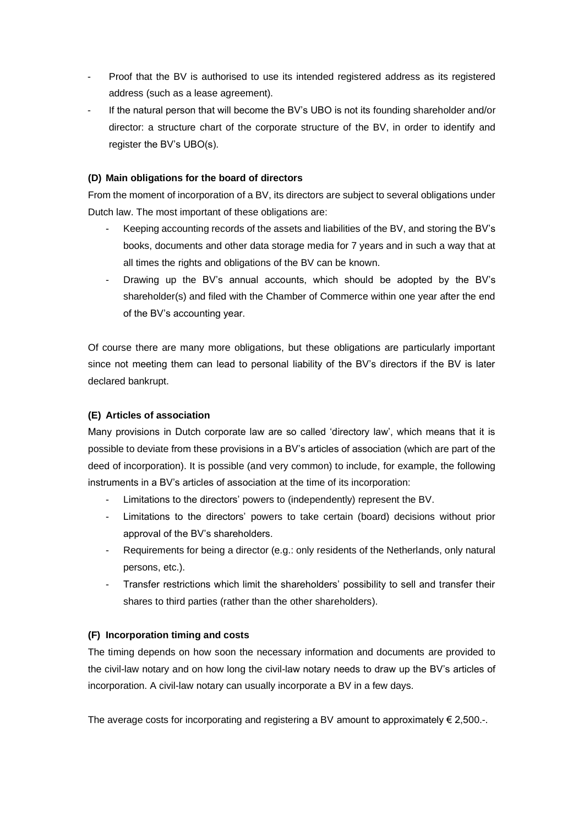- Proof that the BV is authorised to use its intended registered address as its registered address (such as a lease agreement).
- If the natural person that will become the BV's UBO is not its founding shareholder and/or director: a structure chart of the corporate structure of the BV, in order to identify and register the BV's UBO(s).

# **(D) Main obligations for the board of directors**

From the moment of incorporation of a BV, its directors are subject to several obligations under Dutch law. The most important of these obligations are:

- Keeping accounting records of the assets and liabilities of the BV, and storing the BV's books, documents and other data storage media for 7 years and in such a way that at all times the rights and obligations of the BV can be known.
- Drawing up the BV's annual accounts, which should be adopted by the BV's shareholder(s) and filed with the Chamber of Commerce within one year after the end of the BV's accounting year.

Of course there are many more obligations, but these obligations are particularly important since not meeting them can lead to personal liability of the BV's directors if the BV is later declared bankrupt.

# **(E) Articles of association**

Many provisions in Dutch corporate law are so called 'directory law', which means that it is possible to deviate from these provisions in a BV's articles of association (which are part of the deed of incorporation). It is possible (and very common) to include, for example, the following instruments in a BV's articles of association at the time of its incorporation:

- Limitations to the directors' powers to (independently) represent the BV.
- Limitations to the directors' powers to take certain (board) decisions without prior approval of the BV's shareholders.
- Requirements for being a director (e.g.: only residents of the Netherlands, only natural persons, etc.).
- Transfer restrictions which limit the shareholders' possibility to sell and transfer their shares to third parties (rather than the other shareholders).

# **(F) Incorporation timing and costs**

The timing depends on how soon the necessary information and documents are provided to the civil-law notary and on how long the civil-law notary needs to draw up the BV's articles of incorporation. A civil-law notary can usually incorporate a BV in a few days.

The average costs for incorporating and registering a BV amount to approximately  $\epsilon$  2,500.-.